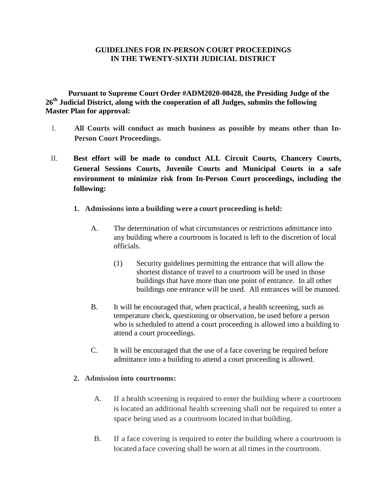## **GUIDELINES FOR IN-PERSON COURT PROCEEDINGS IN THE TWENTY-SIXTH JUDICIAL DISTRICT**

**Pursuant to Supreme Court Order #ADM2020-00428, the Presiding Judge of the 26th Judicial District, along with the cooperation of all Judges, submits the following Master Plan for approval:**

- I. **All Courts will conduct as much business as possible by means other than In-Person Court Proceedings.**
- II. **Best effort will be made to conduct ALL Circuit Courts, Chancery Courts, General Sessions Courts, Juvenile Courts and Municipal Courts in a safe environment to minimize risk from In-Person Court proceedings, including the following:**
	- **1. Admissions into a building were a court proceeding is held:**
		- A. The determination of what circumstances or restrictions admittance into any building where a courtroom is located is left to the discretion of local officials.
			- (1) Security guidelines permitting the entrance that will allow the shortest distance of travel to a courtroom will be used in those buildings that have more than one point of entrance. In all other buildings one entrance will be used. All entrances will be manned.
		- B. It will be encouraged that, when practical, a health screening, such as temperature check, questioning or observation, be used before a person who is scheduled to attend a court proceeding is allowed into a building to attend a court proceedings.
		- C. It will be encouraged that the use of a face covering be required before admittance into a building to attend a court proceeding is allowed.

## **2. Admission into courtrooms:**

- A. If a health screening is required to enter the building where a courtroom is located an additional health screening shall not be required to enter a space being used as a courtroom located in that building.
- B. If a face covering is required to enter the building where a courtroom is located aface covering shall be worn at all times in the courtroom.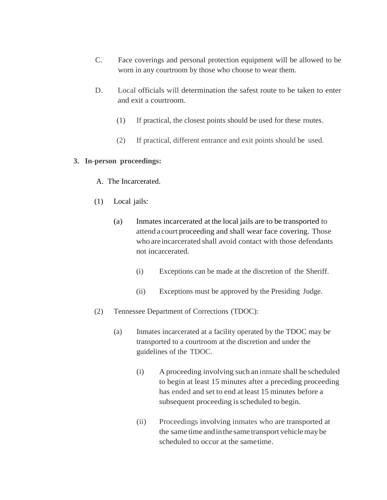- C. Face coverings and personal protection equipment will be allowed to be worn in any courtroom by those who choose to wear them.
- D. Local officials will determination the safest route to be taken to enter and exit a courtroom.
	- (1) If practical, the closest points should be used for these routes.
	- (2) If practical, different entrance and exit points should be used.

## **3. In-person proceedings:**

- A. The Incarcerated.
- (1) Local jails:
	- (a) Inmates incarcerated at the local jails are to be transported to attend a court proceeding and shall wear face covering. Those who are incarcerated shall avoid contact with those defendants not incarcerated.
		- (i) Exceptions can be made at the discretion of the Sheriff.
		- (ii) Exceptions must be approved by the Presiding Judge.
- (2) Tennessee Department of Corrections (TDOC):
	- (a) Inmates incarcerated at a facility operated by the TDOC may be transported to a courtroom at the discretion and under the guidelines of the TDOC.
		- (i) A proceeding involving such an inmate shall be scheduled to begin at least 15 minutes after a preceding proceeding has ended and set to end at least 15 minutes before a subsequent proceeding is scheduled to begin.
		- (ii) Proceedings involving inmates who are transported at the same time andinthesame transport vehiclemay be scheduled to occur at the sametime.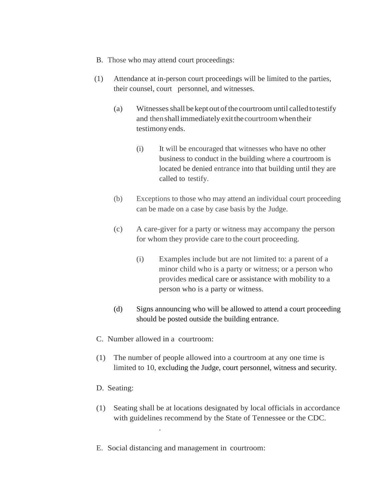- B. Those who may attend court proceedings:
- (1) Attendance at in-person court proceedings will be limited to the parties, their counsel, court personnel, and witnesses.
	- $(a)$  Witnesses shall be kept out of the courtroom until called to testify and thenshallimmediatelyexitthecourtroomwhentheir testimonyends.
		- (i) It will be encouraged that witnesses who have no other business to conduct in the building where a courtroom is located be denied entrance into that building until they are called to testify.
	- (b) Exceptions to those who may attend an individual court proceeding can be made on a case by case basis by the Judge.
	- (c) A care-giver for a party or witness may accompany the person for whom they provide care to the court proceeding.
		- (i) Examples include but are not limited to: a parent of a minor child who is a party or witness; or a person who provides medical care or assistance with mobility to a person who is a party or witness.
	- (d) Signs announcing who will be allowed to attend a court proceeding should be posted outside the building entrance.
- C. Number allowed in a courtroom:

.

- (1) The number of people allowed into a courtroom at any one time is limited to 10, excluding the Judge, court personnel, witness and security.
- D. Seating:
- (1) Seating shall be at locations designated by local officials in accordance with guidelines recommend by the State of Tennessee or the CDC.
- E. Social distancing and management in courtroom: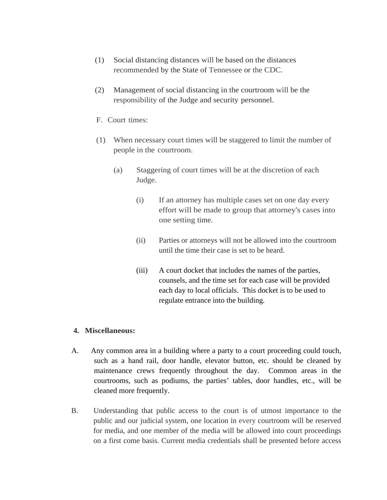- (1) Social distancing distances will be based on the distances recommended by the State of Tennessee or the CDC.
- (2) Management of social distancing in the courtroom will be the responsibility of the Judge and security personnel.
- F. Court times:
- (1) When necessary court times will be staggered to limit the number of people in the courtroom.
	- (a) Staggering of court times will be at the discretion of each Judge.
		- (i) If an attorney has multiple cases set on one day every effort will be made to group that attorney's cases into one setting time.
		- (ii) Parties or attorneys will not be allowed into the courtroom until the time their case is set to be heard.
		- (iii) A court docket that includes the names of the parties, counsels, and the time set for each case will be provided each day to local officials. This docket is to be used to regulate entrance into the building.

## **4. Miscellaneous:**

- A. Any common area in a building where a party to a court proceeding could touch, such as a hand rail, door handle, elevator button, etc. should be cleaned by maintenance crews frequently throughout the day. Common areas in the courtrooms, such as podiums, the parties' tables, door handles, etc., will be cleaned more frequently.
- B. Understanding that public access to the court is of utmost importance to the public and our judicial system, one location in every courtroom will be reserved for media, and one member of the media will be allowed into court proceedings on a first come basis. Current media credentials shall be presented before access